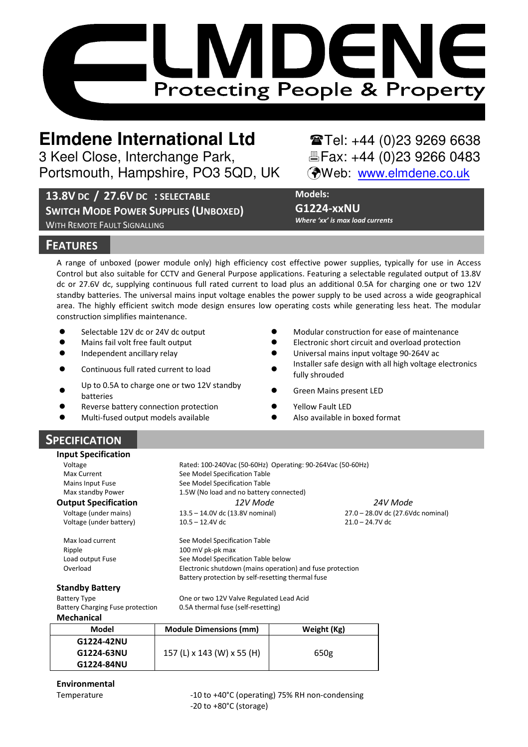

# **Elmdene International Ltd**  $\bullet$  **Tel: +44 (0)23 9269 6638**

3 Keel Close, Interchange Park, Fax: +44 (0)23 9266 0483 Portsmouth, Hampshire, PO3 5QD, UK (Web: www.elmdene.co.uk

13.8V DC / 27.6V DC : SELECTABLE

SWITCH MODE POWER SUPPLIES (UNBOXED) WITH REMOTE FAULT SIGNALLING

Models:

G1224-xxNU Where 'xx' is max load currents

## **FEATURES**

A range of unboxed (power module only) high efficiency cost effective power supplies, typically for use in Access Control but also suitable for CCTV and General Purpose applications. Featuring a selectable regulated output of 13.8V dc or 27.6V dc, supplying continuous full rated current to load plus an additional 0.5A for charging one or two 12V standby batteries. The universal mains input voltage enables the power supply to be used across a wide geographical area. The highly efficient switch mode design ensures low operating costs while generating less heat. The modular construction simplifies maintenance.

- $\bullet$ Selectable 12V dc or 24V dc output
- $\bullet$ Mains fail volt free fault output -
- $\bullet$ Independent ancillary relay -
- $\bullet$ Continuous full rated current to load
- $\bullet$ Up to 0.5A to charge one or two 12V standby<br>batteries
- $\bullet$ Reverse battery connection protection
- $\bullet$ Multi-fused output models available -
- Modular construction for ease of maintenance
- Electronic short circuit and overload protection
- Universal mains input voltage 90-264V ac
- Installer safe design with all high voltage electronics fully shrouded
- Green Mains present LED
- Yellow Fault LED
- Also available in boxed format

# SPECIFICATION

| <b>Input Specification</b>       |                                                            |             |                                   |
|----------------------------------|------------------------------------------------------------|-------------|-----------------------------------|
| Voltage                          | Rated: 100-240Vac (50-60Hz) Operating: 90-264Vac (50-60Hz) |             |                                   |
| Max Current                      | See Model Specification Table                              |             |                                   |
| Mains Input Fuse                 | See Model Specification Table                              |             |                                   |
| Max standby Power                | 1.5W (No load and no battery connected)                    |             |                                   |
| <b>Output Specification</b>      | 12V Mode<br>24V Mode                                       |             |                                   |
| Voltage (under mains)            | 13.5 - 14.0V dc (13.8V nominal)                            |             | 27.0 - 28.0V dc (27.6Vdc nominal) |
| Voltage (under battery)          | $10.5 - 12.4V$ dc<br>$21.0 - 24.7V$ dc                     |             |                                   |
| Max load current                 | See Model Specification Table                              |             |                                   |
| Ripple                           | 100 mV pk-pk max                                           |             |                                   |
| Load output Fuse                 | See Model Specification Table below                        |             |                                   |
| Overload                         | Electronic shutdown (mains operation) and fuse protection  |             |                                   |
|                                  | Battery protection by self-resetting thermal fuse          |             |                                   |
| <b>Standby Battery</b>           |                                                            |             |                                   |
| <b>Battery Type</b>              | One or two 12V Valve Regulated Lead Acid                   |             |                                   |
| Battery Charging Fuse protection | 0.5A thermal fuse (self-resetting)                         |             |                                   |
| <b>Mechanical</b>                |                                                            |             |                                   |
| Model                            | <b>Module Dimensions (mm)</b>                              | Weight (Kg) |                                   |
| G1224-42NU                       |                                                            |             |                                   |
| G1224-63NU                       | 157 (L) x 143 (W) x 55 (H)                                 | 650g        |                                   |

Environmental

G1224-84NU

Temperature  $-10$  to +40°C (operating) 75% RH non-condensing -20 to +80°C (storage)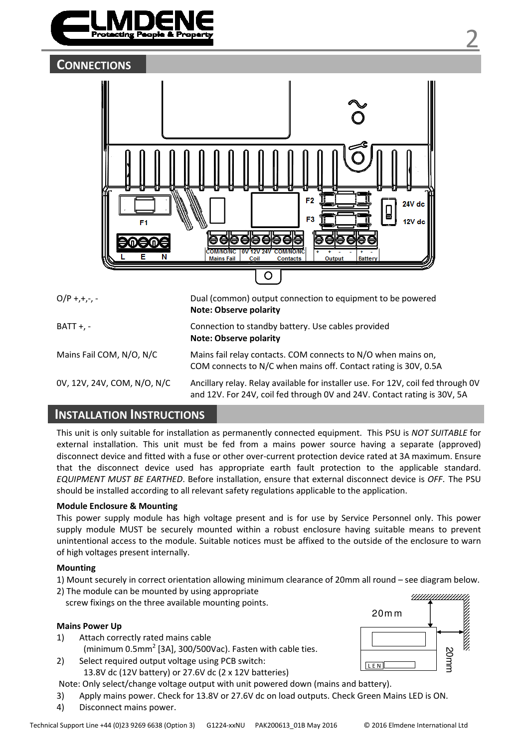



BATT +, - Connection to standby battery. Use cables provided

Note: Observe polarity

| Note: Observe polarity |  |
|------------------------|--|

Mains Fail COM, N/O, N/C Mains fail relay contacts. COM connects to N/O when mains on, COM connects to N/C when mains off. Contact rating is 30V, 0.5A

0V, 12V, 24V, COM, N/O, N/C Ancillary relay. Relay available for installer use. For 12V, coil fed through 0V and 12V. For 24V, coil fed through 0V and 24V. Contact rating is 30V, 5A

# INSTALLATION INSTRUCTIONS

This unit is only suitable for installation as permanently connected equipment. This PSU is NOT SUITABLE for external installation. This unit must be fed from a mains power source having a separate (approved) disconnect device and fitted with a fuse or other over-current protection device rated at 3A maximum. Ensure that the disconnect device used has appropriate earth fault protection to the applicable standard. EQUIPMENT MUST BE EARTHED. Before installation, ensure that external disconnect device is OFF. The PSU should be installed according to all relevant safety regulations applicable to the application.

#### Module Enclosure & Mounting

This power supply module has high voltage present and is for use by Service Personnel only. This power supply module MUST be securely mounted within a robust enclosure having suitable means to prevent unintentional access to the module. Suitable notices must be affixed to the outside of the enclosure to warn of high voltages present internally.

#### Mounting

- 1) Mount securely in correct orientation allowing minimum clearance of 20mm all round see diagram below.
- 2) The module can be mounted by using appropriate screw fixings on the three available mounting points.

### Mains Power Up

- 1) Attach correctly rated mains cable (minimum 0.5mm $^2$  [3A], 300/500Vac). Fasten with cable ties.
- 2) Select required output voltage using PCB switch: 13.8V dc (12V battery) or 27.6V dc (2 x 12V batteries)

Note: Only select/change voltage output with unit powered down (mains and battery).

3) Apply mains power. Check for 13.8V or 27.6V dc on load outputs. Check Green Mains LED is ON.

4) Disconnect mains power.

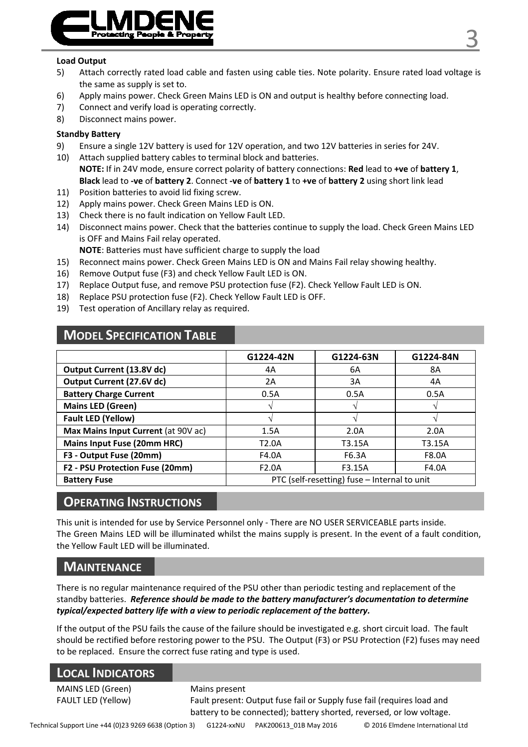

#### Load Output

- 5) Attach correctly rated load cable and fasten using cable ties. Note polarity. Ensure rated load voltage is the same as supply is set to.
- 6) Apply mains power. Check Green Mains LED is ON and output is healthy before connecting load.
- 7) Connect and verify load is operating correctly.
- 8) Disconnect mains power.

#### Standby Battery

- 9) Ensure a single 12V battery is used for 12V operation, and two 12V batteries in series for 24V.
- 10) Attach supplied battery cables to terminal block and batteries. NOTE: If in 24V mode, ensure correct polarity of battery connections: Red lead to +ve of battery 1, Black lead to -ve of battery 2. Connect -ve of battery 1 to +ve of battery 2 using short link lead
- 11) Position batteries to avoid lid fixing screw.
- 12) Apply mains power. Check Green Mains LED is ON.
- 13) Check there is no fault indication on Yellow Fault LED.
- 14) Disconnect mains power. Check that the batteries continue to supply the load. Check Green Mains LED is OFF and Mains Fail relay operated.

NOTE: Batteries must have sufficient charge to supply the load

- 15) Reconnect mains power. Check Green Mains LED is ON and Mains Fail relay showing healthy.
- 16) Remove Output fuse (F3) and check Yellow Fault LED is ON.
- 17) Replace Output fuse, and remove PSU protection fuse (F2). Check Yellow Fault LED is ON.
- 18) Replace PSU protection fuse (F2). Check Yellow Fault LED is OFF.
- 19) Test operation of Ancillary relay as required.

## MODEL SPECIFICATION TABLE

|                                     | G1224-42N          | G1224-63N                                    | G1224-84N    |
|-------------------------------------|--------------------|----------------------------------------------|--------------|
| Output Current (13.8V dc)           | 4A                 | 6A                                           | 8A           |
| Output Current (27.6V dc)           | 2A                 | 3A                                           | 4A           |
| <b>Battery Charge Current</b>       | 0.5A               | 0.5A                                         | 0.5A         |
| Mains LED (Green)                   |                    |                                              |              |
| Fault LED (Yellow)                  |                    |                                              |              |
| Max Mains Input Current (at 90V ac) | 1.5A               | 2.0A                                         | 2.0A         |
| Mains Input Fuse (20mm HRC)         | T <sub>2.0</sub> A | T3.15A                                       | T3.15A       |
| F3 - Output Fuse (20mm)             | F4.0A              | F6.3A                                        | <b>F8.0A</b> |
| F2 - PSU Protection Fuse (20mm)     | F2.0A              | F3.15A                                       | F4.0A        |
| <b>Battery Fuse</b>                 |                    | PTC (self-resetting) fuse - Internal to unit |              |

# OPERATING INSTRUCTIONS

This unit is intended for use by Service Personnel only - There are NO USER SERVICEABLE parts inside. The Green Mains LED will be illuminated whilst the mains supply is present. In the event of a fault condition, the Yellow Fault LED will be illuminated.

## **MAINTENANCE**

There is no regular maintenance required of the PSU other than periodic testing and replacement of the standby batteries. Reference should be made to the battery manufacturer's documentation to determine typical/expected battery life with a view to periodic replacement of the battery.

If the output of the PSU fails the cause of the failure should be investigated e.g. short circuit load. The fault should be rectified before restoring power to the PSU. The Output (F3) or PSU Protection (F2) fuses may need to be replaced. Ensure the correct fuse rating and type is used.

| <b>LOCAL INDICATORS</b>   |                                                                        |
|---------------------------|------------------------------------------------------------------------|
| MAINS LED (Green)         | Mains present                                                          |
| <b>FAULT LED (Yellow)</b> | Fault present: Output fuse fail or Supply fuse fail (requires load and |
|                           | battery to be connected); battery shorted, reversed, or low voltage.   |